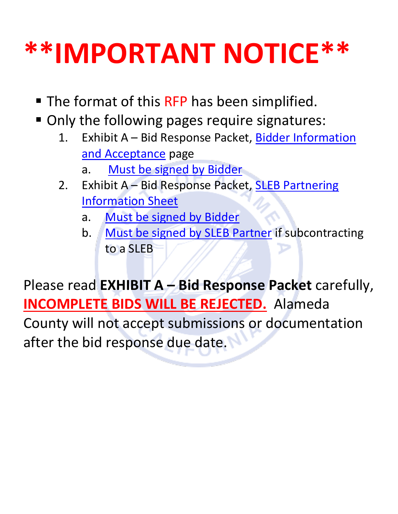# **\*\*IMPORTANT NOTICE\*\***

- The format of this RFP has been simplified.
- Only the following pages require signatures:
	- 1. Exhibit A Bid Response Packet, Bidder Information [and Acceptance](#page-29-0) page
		- a. [Must be signed by Bidder](#page-29-0)
	- 2. Exhibit A Bid Response Packet, **SLEB Partnering** [Information Sheet](#page-35-0)
		- a. [Must be signed by Bidder](#page-35-0)
		- b. [Must be signed by SLEB Partner](#page-35-1) if subcontracting to a SLEB

Please read **EXHIBIT A – Bid Response Packet** carefully, **INCOMPLETE BIDS WILL BE REJECTED.** Alameda County will not accept submissions or documentation

after the bid response due date.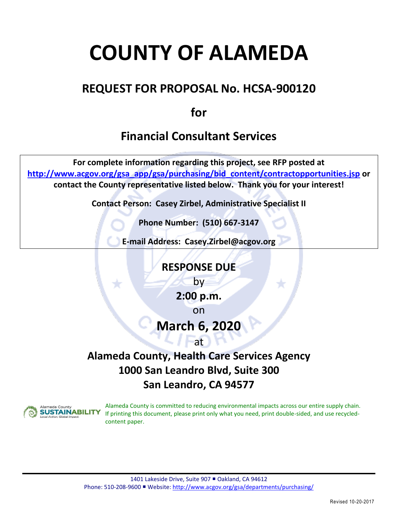## **COUNTY OF ALAMEDA**

## **REQUEST FOR PROPOSAL No. HCSA-900120**

**for**

## **Financial Consultant Services**

**For complete information regarding this project, see RFP posted at [http://www.acgov.org/gsa\\_app/gsa/purchasing/bid\\_content/contractopportunities.jsp](http://www.acgov.org/gsa_app/gsa/purchasing/bid_content/contractopportunities.jsp) or contact the County representative listed below. Thank you for your interest!**

**Contact Person: Casey Zirbel, Administrative Specialist II**

**Phone Number: (510) 667-3147**

**E-mail Address: Casey.Zirbel@acgov.org**

**RESPONSE DUE** by

**2:00 p.m.**

on

## **March 6, 2020**

### at

## **Alameda County, Health Care Services Agency 1000 San Leandro Blvd, Suite 300 San Leandro, CA 94577**



Alameda County is committed to reducing environmental impacts across our entire supply chain. If printing this document, please print only what you need, print double-sided, and use recycledcontent paper.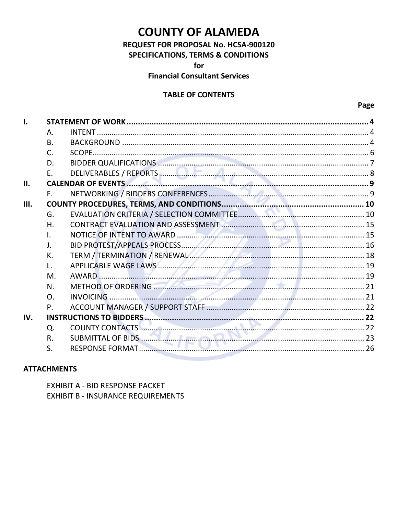## **COUNTY OF ALAMEDA**

REQUEST FOR PROPOSAL No. HCSA-900120

**SPECIFICATIONS, TERMS & CONDITIONS** 

for

**Financial Consultant Services** 

#### **TABLE OF CONTENTS**

| I.   |                  |                                                                  |  |
|------|------------------|------------------------------------------------------------------|--|
|      | А.               |                                                                  |  |
|      | <b>B.</b>        |                                                                  |  |
|      | C.               |                                                                  |  |
|      | D.               |                                                                  |  |
|      |                  |                                                                  |  |
| П.   |                  |                                                                  |  |
|      | F.               |                                                                  |  |
| III. |                  |                                                                  |  |
|      | G.               |                                                                  |  |
|      | Η.               |                                                                  |  |
|      | $\mathbf{L}$     |                                                                  |  |
|      | $\mathsf{J}$ .   |                                                                  |  |
|      | К.               | TERM / TERMINATION / RENEWAL A AND THE RESERVE TERM / TERM       |  |
|      | $\mathbf{L}$     |                                                                  |  |
|      | M.               |                                                                  |  |
|      | N.               | METHOD OF ORDERING <b>Extract of the CONTRACT OF ORDERING</b> 21 |  |
|      | $\overline{O}$ . |                                                                  |  |
|      | $P_{\cdot}$      |                                                                  |  |
| IV.  |                  |                                                                  |  |
|      | Q.               |                                                                  |  |
|      | R.               |                                                                  |  |
|      | S.               |                                                                  |  |

#### **ATTACHMENTS**

EXHIBIT A - BID RESPONSE PACKET **EXHIBIT B - INSURANCE REQUIREMENTS**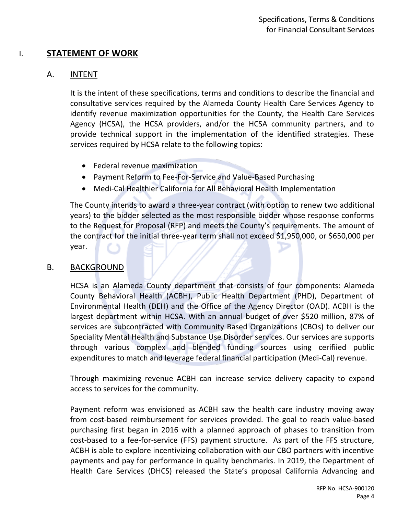#### <span id="page-3-1"></span><span id="page-3-0"></span>I. **STATEMENT OF WORK**

#### A. INTENT

It is the intent of these specifications, terms and conditions to describe the financial and consultative services required by the Alameda County Health Care Services Agency to identify revenue maximization opportunities for the County, the Health Care Services Agency (HCSA), the HCSA providers, and/or the HCSA community partners, and to provide technical support in the implementation of the identified strategies. These services required by HCSA relate to the following topics:

- Federal revenue maximization
- Payment Reform to Fee-For-Service and Value-Based Purchasing
- Medi-Cal Healthier California for All Behavioral Health Implementation

The County intends to award a three-year contract (with option to renew two additional years) to the bidder selected as the most responsible bidder whose response conforms to the Request for Proposal (RFP) and meets the County's requirements. The amount of the contract for the initial three-year term shall not exceed \$1,950,000, or \$650,000 per year.

#### <span id="page-3-2"></span>B. BACKGROUND

HCSA is an Alameda County department that consists of four components: Alameda County Behavioral Health (ACBH), Public Health Department (PHD), Department of Environmental Health (DEH) and the Office of the Agency Director (OAD). ACBH is the largest department within HCSA. With an annual budget of over \$520 million, 87% of services are subcontracted with Community Based Organizations (CBOs) to deliver our Speciality Mental Health and Substance Use Disorder services. Our services are supports through various complex and blended funding sources using cerifiied public expenditures to match and leverage federal financial participation (Medi-Cal) revenue.

Through maximizing revenue ACBH can increase service delivery capacity to expand access to services for the community.

Payment reform was envisioned as ACBH saw the health care industry moving away from cost-based reimbursement for services provided. The goal to reach value-based purchasing first began in 2016 with a planned approach of phases to transition from cost-based to a fee-for-service (FFS) payment structure. As part of the FFS structure, ACBH is able to explore incentivizing collaboration with our CBO partners with incentive payments and pay for performance in quality benchmarks. In 2019, the Department of Health Care Services (DHCS) released the State's proposal California Advancing and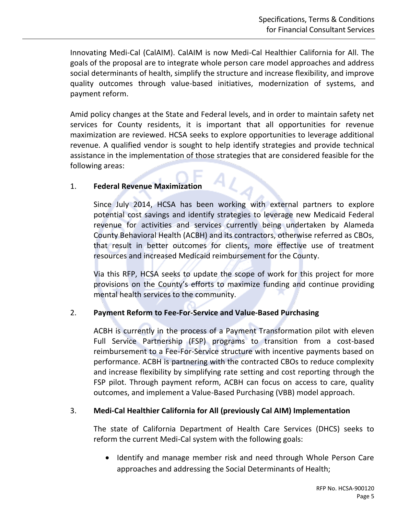Innovating Medi-Cal (CalAIM). CalAIM is now Medi-Cal Healthier California for All. The goals of the proposal are to integrate whole person care model approaches and address social determinants of health, simplify the structure and increase flexibility, and improve quality outcomes through value-based initiatives, modernization of systems, and payment reform.

Amid policy changes at the State and Federal levels, and in order to maintain safety net services for County residents, it is important that all opportunities for revenue maximization are reviewed. HCSA seeks to explore opportunities to leverage additional revenue. A qualified vendor is sought to help identify strategies and provide technical assistance in the implementation of those strategies that are considered feasible for the following areas:

#### 1. **Federal Revenue Maximization**

Since July 2014, HCSA has been working with external partners to explore potential cost savings and identify strategies to leverage new Medicaid Federal revenue for activities and services currently being undertaken by Alameda County Behavioral Health (ACBH) and its contractors, otherwise referred as CBOs, that result in better outcomes for clients, more effective use of treatment resources and increased Medicaid reimbursement for the County.

Via this RFP, HCSA seeks to update the scope of work for this project for more provisions on the County's efforts to maximize funding and continue providing mental health services to the community.

#### 2. **Payment Reform to Fee-For-Service and Value-Based Purchasing**

ACBH is currently in the process of a Payment Transformation pilot with eleven Full Service Partnership (FSP) programs to transition from a cost-based reimbursement to a Fee-For-Service structure with incentive payments based on performance. ACBH is partnering with the contracted CBOs to reduce complexity and increase flexibility by simplifying rate setting and cost reporting through the FSP pilot. Through payment reform, ACBH can focus on access to care, quality outcomes, and implement a Value-Based Purchasing (VBB) model approach.

#### 3. **Medi-Cal Healthier California for All (previously Cal AIM) Implementation**

The state of California Department of Health Care Services (DHCS) seeks to reform the current Medi-Cal system with the following goals:

• Identify and manage member risk and need through Whole Person Care approaches and addressing the Social Determinants of Health;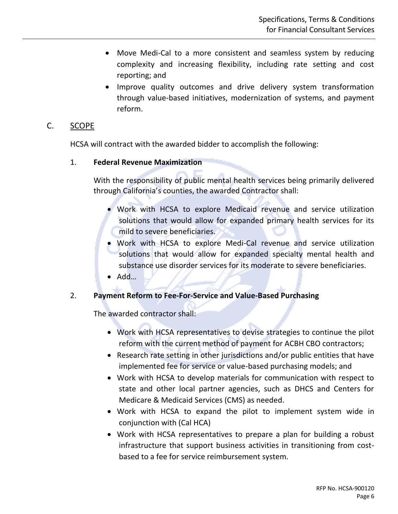- Move Medi-Cal to a more consistent and seamless system by reducing complexity and increasing flexibility, including rate setting and cost reporting; and
- Improve quality outcomes and drive delivery system transformation through value-based initiatives, modernization of systems, and payment reform.

#### <span id="page-5-0"></span>C. SCOPE

HCSA will contract with the awarded bidder to accomplish the following:

#### 1. **Federal Revenue Maximization**

With the responsibility of public mental health services being primarily delivered through California's counties, the awarded Contractor shall:

- Work with HCSA to explore Medicaid revenue and service utilization solutions that would allow for expanded primary health services for its mild to severe beneficiaries.
- Work with HCSA to explore Medi-Cal revenue and service utilization solutions that would allow for expanded specialty mental health and substance use disorder services for its moderate to severe beneficiaries.
- Add…

#### 2. **Payment Reform to Fee-For-Service and Value-Based Purchasing**

The awarded contractor shall:

- Work with HCSA representatives to devise strategies to continue the pilot reform with the current method of payment for ACBH CBO contractors;
- Research rate setting in other jurisdictions and/or public entities that have implemented fee for service or value-based purchasing models; and
- Work with HCSA to develop materials for communication with respect to state and other local partner agencies, such as DHCS and Centers for Medicare & Medicaid Services (CMS) as needed.
- Work with HCSA to expand the pilot to implement system wide in conjunction with (Cal HCA)
- Work with HCSA representatives to prepare a plan for building a robust infrastructure that support business activities in transitioning from costbased to a fee for service reimbursement system.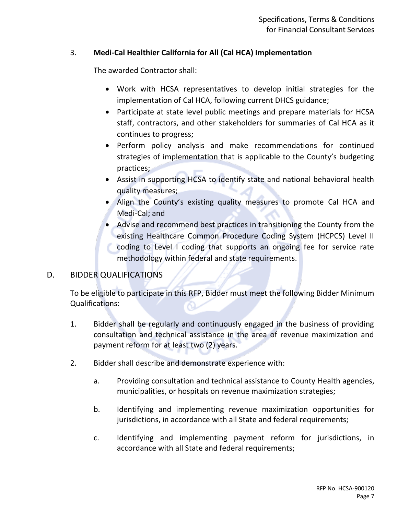#### 3. **Medi-Cal Healthier California for All (Cal HCA) Implementation**

The awarded Contractor shall:

- Work with HCSA representatives to develop initial strategies for the implementation of Cal HCA, following current DHCS guidance;
- Participate at state level public meetings and prepare materials for HCSA staff, contractors, and other stakeholders for summaries of Cal HCA as it continues to progress;
- Perform policy analysis and make recommendations for continued strategies of implementation that is applicable to the County's budgeting practices;
- Assist in supporting HCSA to identify state and national behavioral health quality measures;
- Align the County's existing quality measures to promote Cal HCA and Medi-Cal; and
- Advise and recommend best practices in transitioning the County from the existing Healthcare Common Procedure Coding System (HCPCS) Level II coding to Level I coding that supports an ongoing fee for service rate methodology within federal and state requirements.

#### <span id="page-6-0"></span>D. BIDDER QUALIFICATIONS

To be eligible to participate in this RFP, Bidder must meet the following Bidder Minimum Qualifications:

- 1. Bidder shall be regularly and continuously engaged in the business of providing consultation and technical assistance in the area of revenue maximization and payment reform for at least two (2) years.
- 2. Bidder shall describe and demonstrate experience with:
	- a. Providing consultation and technical assistance to County Health agencies, municipalities, or hospitals on revenue maximization strategies;
	- b. Identifying and implementing revenue maximization opportunities for jurisdictions, in accordance with all State and federal requirements;
	- c. Identifying and implementing payment reform for jurisdictions, in accordance with all State and federal requirements;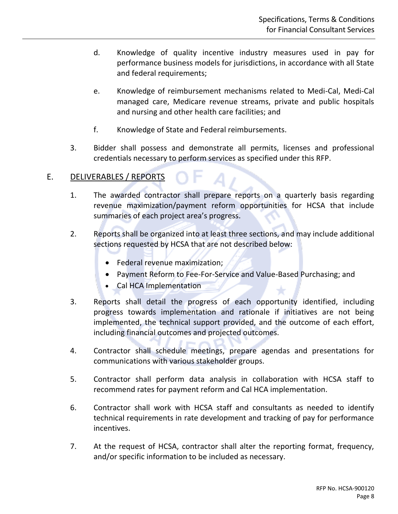- d. Knowledge of quality incentive industry measures used in pay for performance business models for jurisdictions, in accordance with all State and federal requirements;
- e. Knowledge of reimbursement mechanisms related to Medi-Cal, Medi-Cal managed care, Medicare revenue streams, private and public hospitals and nursing and other health care facilities; and
- f. Knowledge of State and Federal reimbursements.
- 3. Bidder shall possess and demonstrate all permits, licenses and professional credentials necessary to perform services as specified under this RFP.

#### <span id="page-7-0"></span>E. DELIVERABLES / REPORTS

- 1. The awarded contractor shall prepare reports on a quarterly basis regarding revenue maximization/payment reform opportunities for HCSA that include summaries of each project area's progress.
- 2. Reports shall be organized into at least three sections, and may include additional sections requested by HCSA that are not described below:
	- Federal revenue maximization;
	- Payment Reform to Fee-For-Service and Value-Based Purchasing; and
	- Cal HCA Implementation
- 3. Reports shall detail the progress of each opportunity identified, including progress towards implementation and rationale if initiatives are not being implemented, the technical support provided, and the outcome of each effort, including financial outcomes and projected outcomes.
- 4. Contractor shall schedule meetings, prepare agendas and presentations for communications with various stakeholder groups.
- 5. Contractor shall perform data analysis in collaboration with HCSA staff to recommend rates for payment reform and Cal HCA implementation.
- 6. Contractor shall work with HCSA staff and consultants as needed to identify technical requirements in rate development and tracking of pay for performance incentives.
- 7. At the request of HCSA, contractor shall alter the reporting format, frequency, and/or specific information to be included as necessary.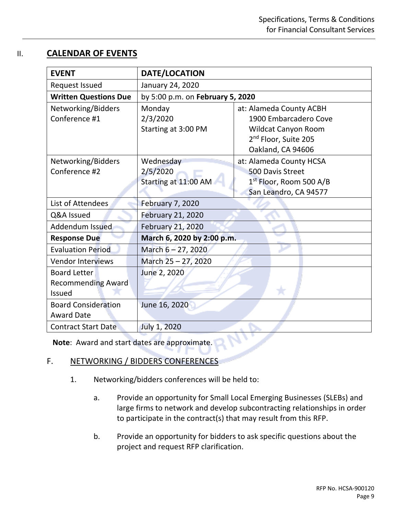#### <span id="page-8-0"></span>II. **CALENDAR OF EVENTS**

| <b>EVENT</b>                 | DATE/LOCATION                    |                                     |  |  |
|------------------------------|----------------------------------|-------------------------------------|--|--|
| Request Issued               | January 24, 2020                 |                                     |  |  |
| <b>Written Questions Due</b> | by 5:00 p.m. on February 5, 2020 |                                     |  |  |
| Networking/Bidders           | Monday                           | at: Alameda County ACBH             |  |  |
| Conference #1                | 2/3/2020                         | 1900 Embarcadero Cove               |  |  |
|                              | Starting at 3:00 PM              | <b>Wildcat Canyon Room</b>          |  |  |
|                              |                                  | 2 <sup>nd</sup> Floor, Suite 205    |  |  |
|                              |                                  | Oakland, CA 94606                   |  |  |
| Networking/Bidders           | Wednesday                        | at: Alameda County HCSA             |  |  |
| Conference #2                | 2/5/2020                         | <b>500 Davis Street</b>             |  |  |
|                              | Starting at 11:00 AM             | 1 <sup>st</sup> Floor, Room 500 A/B |  |  |
|                              |                                  | San Leandro, CA 94577               |  |  |
| List of Attendees            | <b>February 7, 2020</b>          |                                     |  |  |
| Q&A Issued                   | February 21, 2020                |                                     |  |  |
| Addendum Issued              | February 21, 2020                |                                     |  |  |
| <b>Response Due</b>          | March 6, 2020 by 2:00 p.m.       |                                     |  |  |
| <b>Evaluation Period</b>     | March 6 - 27, 2020               |                                     |  |  |
| <b>Vendor Interviews</b>     | March 25 - 27, 2020              |                                     |  |  |
| <b>Board Letter</b>          | June 2, 2020                     |                                     |  |  |
| <b>Recommending Award</b>    |                                  |                                     |  |  |
| <b>Issued</b>                |                                  |                                     |  |  |
| <b>Board Consideration</b>   | June 16, 2020                    |                                     |  |  |
| <b>Award Date</b>            |                                  |                                     |  |  |
| <b>Contract Start Date</b>   | July 1, 2020                     |                                     |  |  |

**Note**: Award and start dates are approximate.

#### <span id="page-8-1"></span>F. NETWORKING / BIDDERS CONFERENCES

- 1. Networking/bidders conferences will be held to:
	- a. Provide an opportunity for Small Local Emerging Businesses (SLEBs) and large firms to network and develop subcontracting relationships in order to participate in the contract(s) that may result from this RFP.
	- b. Provide an opportunity for bidders to ask specific questions about the project and request RFP clarification.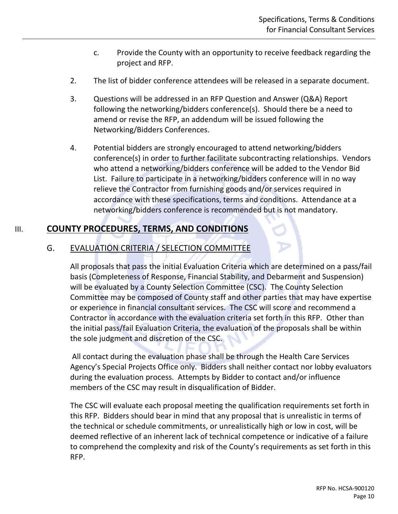- c. Provide the County with an opportunity to receive feedback regarding the project and RFP.
- 2. The list of bidder conference attendees will be released in a separate document.
- 3. Questions will be addressed in an RFP Question and Answer (Q&A) Report following the networking/bidders conference(s). Should there be a need to amend or revise the RFP, an addendum will be issued following the Networking/Bidders Conferences.
- 4. Potential bidders are strongly encouraged to attend networking/bidders conference(s) in order to further facilitate subcontracting relationships. Vendors who attend a networking/bidders conference will be added to the Vendor Bid List. Failure to participate in a networking/bidders conference will in no way relieve the Contractor from furnishing goods and/or services required in accordance with these specifications, terms and conditions. Attendance at a networking/bidders conference is recommended but is not mandatory.

#### <span id="page-9-1"></span><span id="page-9-0"></span>III. **COUNTY PROCEDURES, TERMS, AND CONDITIONS**

#### G. EVALUATION CRITERIA / SELECTION COMMITTEE

All proposals that pass the initial Evaluation Criteria which are determined on a pass/fail basis (Completeness of Response, Financial Stability, and Debarment and Suspension) will be evaluated by a County Selection Committee (CSC). The County Selection Committee may be composed of County staff and other parties that may have expertise or experience in financial consultant services. The CSC will score and recommend a Contractor in accordance with the evaluation criteria set forth in this RFP. Other than the initial pass/fail Evaluation Criteria, the evaluation of the proposals shall be within the sole judgment and discretion of the CSC.

All contact during the evaluation phase shall be through the Health Care Services Agency's Special Projects Office only. Bidders shall neither contact nor lobby evaluators during the evaluation process. Attempts by Bidder to contact and/or influence members of the CSC may result in disqualification of Bidder.

The CSC will evaluate each proposal meeting the qualification requirements set forth in this RFP. Bidders should bear in mind that any proposal that is unrealistic in terms of the technical or schedule commitments, or unrealistically high or low in cost, will be deemed reflective of an inherent lack of technical competence or indicative of a failure to comprehend the complexity and risk of the County's requirements as set forth in this RFP.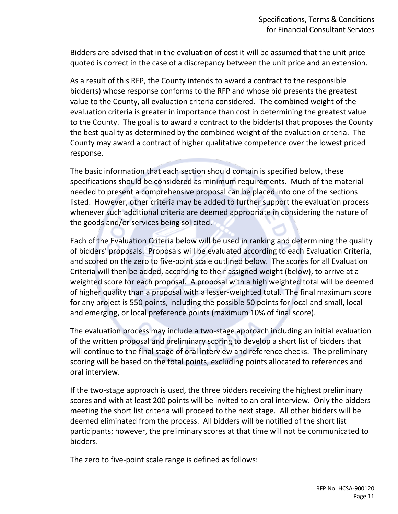Bidders are advised that in the evaluation of cost it will be assumed that the unit price quoted is correct in the case of a discrepancy between the unit price and an extension.

As a result of this RFP, the County intends to award a contract to the responsible bidder(s) whose response conforms to the RFP and whose bid presents the greatest value to the County, all evaluation criteria considered. The combined weight of the evaluation criteria is greater in importance than cost in determining the greatest value to the County. The goal is to award a contract to the bidder(s) that proposes the County the best quality as determined by the combined weight of the evaluation criteria. The County may award a contract of higher qualitative competence over the lowest priced response.

The basic information that each section should contain is specified below, these specifications should be considered as minimum requirements. Much of the material needed to present a comprehensive proposal can be placed into one of the sections listed. However, other criteria may be added to further support the evaluation process whenever such additional criteria are deemed appropriate in considering the nature of the goods and/or services being solicited.

Each of the Evaluation Criteria below will be used in ranking and determining the quality of bidders' proposals. Proposals will be evaluated according to each Evaluation Criteria, and scored on the zero to five-point scale outlined below. The scores for all Evaluation Criteria will then be added, according to their assigned weight (below), to arrive at a weighted score for each proposal. A proposal with a high weighted total will be deemed of higher quality than a proposal with a lesser-weighted total. The final maximum score for any project is 550 points, including the possible 50 points for local and small, local and emerging, or local preference points (maximum 10% of final score).

The evaluation process may include a two-stage approach including an initial evaluation of the written proposal and preliminary scoring to develop a short list of bidders that will continue to the final stage of oral interview and reference checks. The preliminary scoring will be based on the total points, excluding points allocated to references and oral interview.

If the two-stage approach is used, the three bidders receiving the highest preliminary scores and with at least 200 points will be invited to an oral interview. Only the bidders meeting the short list criteria will proceed to the next stage. All other bidders will be deemed eliminated from the process. All bidders will be notified of the short list participants; however, the preliminary scores at that time will not be communicated to bidders.

The zero to five-point scale range is defined as follows: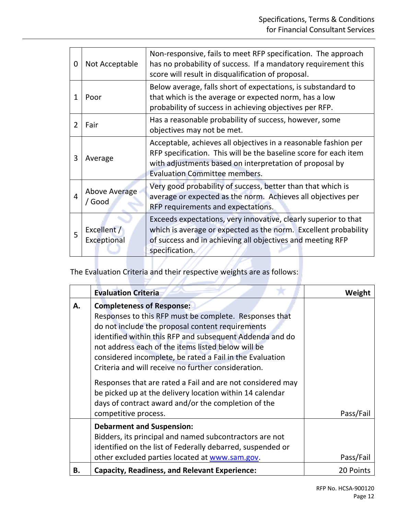| 0 | Not Acceptable                 | Non-responsive, fails to meet RFP specification. The approach<br>has no probability of success. If a mandatory requirement this<br>score will result in disqualification of proposal.                                                  |
|---|--------------------------------|----------------------------------------------------------------------------------------------------------------------------------------------------------------------------------------------------------------------------------------|
| 1 | Poor                           | Below average, falls short of expectations, is substandard to<br>that which is the average or expected norm, has a low<br>probability of success in achieving objectives per RFP.                                                      |
|   | Fair                           | Has a reasonable probability of success, however, some<br>objectives may not be met.                                                                                                                                                   |
| 3 | Average                        | Acceptable, achieves all objectives in a reasonable fashion per<br>RFP specification. This will be the baseline score for each item<br>with adjustments based on interpretation of proposal by<br><b>Evaluation Committee members.</b> |
| 4 | <b>Above Average</b><br>/ Good | Very good probability of success, better than that which is<br>average or expected as the norm. Achieves all objectives per<br>RFP requirements and expectations.                                                                      |
| 5 | Excellent /<br>Exceptional     | Exceeds expectations, very innovative, clearly superior to that<br>which is average or expected as the norm. Excellent probability<br>of success and in achieving all objectives and meeting RFP<br>specification.                     |

#### The Evaluation Criteria and their respective weights are as follows:

A.

ی

|    | <b>Evaluation Criteria</b>                                                                                                                                                                                                                                                                                                                                                          | Weight    |
|----|-------------------------------------------------------------------------------------------------------------------------------------------------------------------------------------------------------------------------------------------------------------------------------------------------------------------------------------------------------------------------------------|-----------|
| А. | <b>Completeness of Response:</b><br>Responses to this RFP must be complete. Responses that<br>do not include the proposal content requirements<br>identified within this RFP and subsequent Addenda and do<br>not address each of the items listed below will be<br>considered incomplete, be rated a Fail in the Evaluation<br>Criteria and will receive no further consideration. |           |
|    | Responses that are rated a Fail and are not considered may<br>be picked up at the delivery location within 14 calendar<br>days of contract award and/or the completion of the<br>competitive process.                                                                                                                                                                               | Pass/Fail |
|    | <b>Debarment and Suspension:</b><br>Bidders, its principal and named subcontractors are not<br>identified on the list of Federally debarred, suspended or<br>other excluded parties located at www.sam.gov.                                                                                                                                                                         | Pass/Fail |
| Β. | <b>Capacity, Readiness, and Relevant Experience:</b>                                                                                                                                                                                                                                                                                                                                | 20 Points |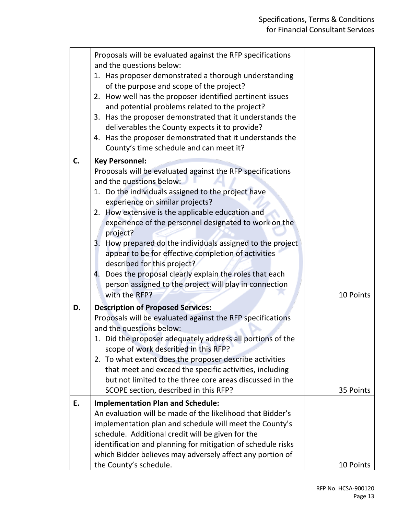|    | Proposals will be evaluated against the RFP specifications<br>and the questions below:<br>1. Has proposer demonstrated a thorough understanding<br>of the purpose and scope of the project?<br>2. How well has the proposer identified pertinent issues<br>and potential problems related to the project?<br>3. Has the proposer demonstrated that it understands the<br>deliverables the County expects it to provide?<br>4. Has the proposer demonstrated that it understands the<br>County's time schedule and can meet it?                                                                                                  |           |
|----|---------------------------------------------------------------------------------------------------------------------------------------------------------------------------------------------------------------------------------------------------------------------------------------------------------------------------------------------------------------------------------------------------------------------------------------------------------------------------------------------------------------------------------------------------------------------------------------------------------------------------------|-----------|
| C. | <b>Key Personnel:</b><br>Proposals will be evaluated against the RFP specifications<br>and the questions below:<br>1. Do the individuals assigned to the project have<br>experience on similar projects?<br>2. How extensive is the applicable education and<br>experience of the personnel designated to work on the<br>project?<br>3. How prepared do the individuals assigned to the project<br>appear to be for effective completion of activities<br>described for this project?<br>Does the proposal clearly explain the roles that each<br>4.<br>person assigned to the project will play in connection<br>with the RFP? | 10 Points |
| D. | <b>Description of Proposed Services:</b><br>Proposals will be evaluated against the RFP specifications<br>and the questions below:<br>1. Did the proposer adequately address all portions of the<br>scope of work described in this RFP?<br>2. To what extent does the proposer describe activities<br>that meet and exceed the specific activities, including<br>but not limited to the three core areas discussed in the<br>SCOPE section, described in this RFP?                                                                                                                                                             | 35 Points |
| E. | <b>Implementation Plan and Schedule:</b><br>An evaluation will be made of the likelihood that Bidder's<br>implementation plan and schedule will meet the County's<br>schedule. Additional credit will be given for the<br>identification and planning for mitigation of schedule risks<br>which Bidder believes may adversely affect any portion of<br>the County's schedule.                                                                                                                                                                                                                                                   | 10 Points |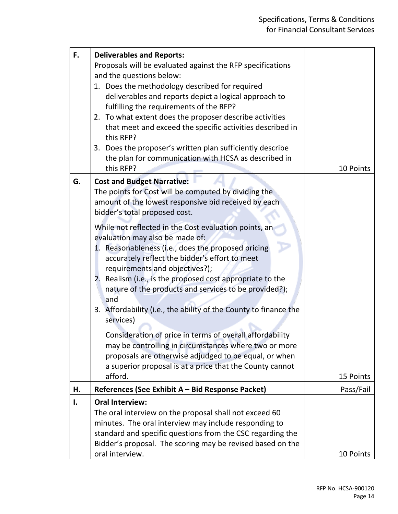| F. | <b>Deliverables and Reports:</b><br>Proposals will be evaluated against the RFP specifications<br>and the questions below:<br>1. Does the methodology described for required<br>deliverables and reports depict a logical approach to<br>fulfilling the requirements of the RFP?<br>2. To what extent does the proposer describe activities<br>that meet and exceed the specific activities described in<br>this RFP?<br>3. Does the proposer's written plan sufficiently describe<br>the plan for communication with HCSA as described in<br>this RFP?                                                                                                                                                                                                                                                                                                                                        | 10 Points |
|----|------------------------------------------------------------------------------------------------------------------------------------------------------------------------------------------------------------------------------------------------------------------------------------------------------------------------------------------------------------------------------------------------------------------------------------------------------------------------------------------------------------------------------------------------------------------------------------------------------------------------------------------------------------------------------------------------------------------------------------------------------------------------------------------------------------------------------------------------------------------------------------------------|-----------|
| G. | <b>Cost and Budget Narrative:</b><br>The points for Cost will be computed by dividing the<br>amount of the lowest responsive bid received by each<br>bidder's total proposed cost.<br>While not reflected in the Cost evaluation points, an<br>evaluation may also be made of:<br>1. Reasonableness (i.e., does the proposed pricing<br>accurately reflect the bidder's effort to meet<br>requirements and objectives?);<br>Realism (i.e., is the proposed cost appropriate to the<br>2.<br>nature of the products and services to be provided?);<br>and<br>3. Affordability (i.e., the ability of the County to finance the<br>services)<br>Consideration of price in terms of overall affordability<br>may be controlling in circumstances where two or more<br>proposals are otherwise adjudged to be equal, or when<br>a superior proposal is at a price that the County cannot<br>afford. | 15 Points |
| Η. | References (See Exhibit A - Bid Response Packet)                                                                                                                                                                                                                                                                                                                                                                                                                                                                                                                                                                                                                                                                                                                                                                                                                                               | Pass/Fail |
| Ι. | <b>Oral Interview:</b>                                                                                                                                                                                                                                                                                                                                                                                                                                                                                                                                                                                                                                                                                                                                                                                                                                                                         |           |
|    | The oral interview on the proposal shall not exceed 60<br>minutes. The oral interview may include responding to<br>standard and specific questions from the CSC regarding the<br>Bidder's proposal. The scoring may be revised based on the<br>oral interview.                                                                                                                                                                                                                                                                                                                                                                                                                                                                                                                                                                                                                                 | 10 Points |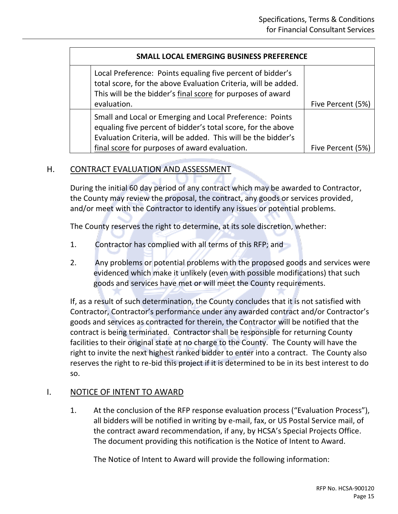#### **SMALL LOCAL EMERGING BUSINESS PREFERENCE**

| Local Preference: Points equaling five percent of bidder's<br>total score, for the above Evaluation Criteria, will be added.<br>This will be the bidder's final score for purposes of award |                   |
|---------------------------------------------------------------------------------------------------------------------------------------------------------------------------------------------|-------------------|
| evaluation.                                                                                                                                                                                 | Five Percent (5%) |
| Small and Local or Emerging and Local Preference: Points<br>equaling five percent of bidder's total score, for the above<br>Evaluation Criteria, will be added. This will be the bidder's   |                   |
| final score for purposes of award evaluation.                                                                                                                                               | Five Percent (5%) |

#### <span id="page-14-0"></span>H. CONTRACT EVALUATION AND ASSESSMENT

During the initial 60 day period of any contract which may be awarded to Contractor, the County may review the proposal, the contract, any goods or services provided, and/or meet with the Contractor to identify any issues or potential problems.

The County reserves the right to determine, at its sole discretion, whether:

- 1. Contractor has complied with all terms of this RFP; and
- 2. Any problems or potential problems with the proposed goods and services were evidenced which make it unlikely (even with possible modifications) that such goods and services have met or will meet the County requirements.

If, as a result of such determination, the County concludes that it is not satisfied with Contractor, Contractor's performance under any awarded contract and/or Contractor's goods and services as contracted for therein, the Contractor will be notified that the contract is being terminated. Contractor shall be responsible for returning County facilities to their original state at no charge to the County. The County will have the right to invite the next highest ranked bidder to enter into a contract. The County also reserves the right to re-bid this project if it is determined to be in its best interest to do so.

#### <span id="page-14-1"></span>I. NOTICE OF INTENT TO AWARD

1. At the conclusion of the RFP response evaluation process ("Evaluation Process"), all bidders will be notified in writing by e-mail, fax, or US Postal Service mail, of the contract award recommendation, if any, by HCSA's Special Projects Office. The document providing this notification is the Notice of Intent to Award.

The Notice of Intent to Award will provide the following information: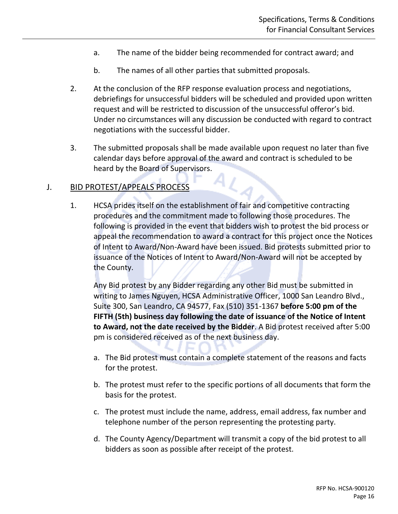- a. The name of the bidder being recommended for contract award; and
- b. The names of all other parties that submitted proposals.
- 2. At the conclusion of the RFP response evaluation process and negotiations, debriefings for unsuccessful bidders will be scheduled and provided upon written request and will be restricted to discussion of the unsuccessful offeror's bid. Under no circumstances will any discussion be conducted with regard to contract negotiations with the successful bidder.
- 3. The submitted proposals shall be made available upon request no later than five calendar days before approval of the award and contract is scheduled to be heard by the Board of Supervisors.

#### <span id="page-15-0"></span>J. BID PROTEST/APPEALS PROCESS

1. HCSA prides itself on the establishment of fair and competitive contracting procedures and the commitment made to following those procedures. The following is provided in the event that bidders wish to protest the bid process or appeal the recommendation to award a contract for this project once the Notices of Intent to Award/Non-Award have been issued. Bid protests submitted prior to issuance of the Notices of Intent to Award/Non-Award will not be accepted by the County.

Any Bid protest by any Bidder regarding any other Bid must be submitted in writing to James Nguyen, HCSA Administrative Officer, 1000 San Leandro Blvd., Suite 300, San Leandro, CA 94577, Fax (510) 351-1367 **before 5:00 pm of the FIFTH (5th) business day following the date of issuance of the Notice of Intent to Award, not the date received by the Bidder**. A Bid protest received after 5:00 pm is considered received as of the next business day.

- a. The Bid protest must contain a complete statement of the reasons and facts for the protest.
- b. The protest must refer to the specific portions of all documents that form the basis for the protest.
- c. The protest must include the name, address, email address, fax number and telephone number of the person representing the protesting party.
- d. The County Agency/Department will transmit a copy of the bid protest to all bidders as soon as possible after receipt of the protest.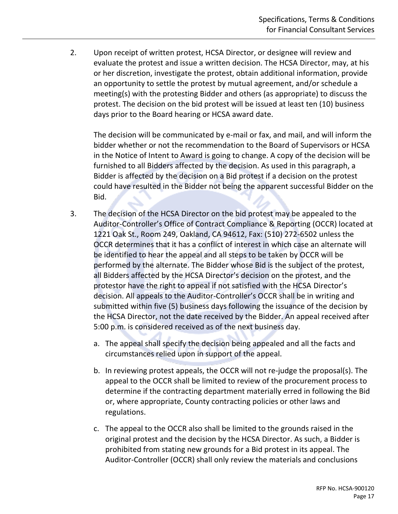2. Upon receipt of written protest, HCSA Director, or designee will review and evaluate the protest and issue a written decision. The HCSA Director, may, at his or her discretion, investigate the protest, obtain additional information, provide an opportunity to settle the protest by mutual agreement, and/or schedule a meeting(s) with the protesting Bidder and others (as appropriate) to discuss the protest. The decision on the bid protest will be issued at least ten (10) business days prior to the Board hearing or HCSA award date.

The decision will be communicated by e-mail or fax, and mail, and will inform the bidder whether or not the recommendation to the Board of Supervisors or HCSA in the Notice of Intent to Award is going to change. A copy of the decision will be furnished to all Bidders affected by the decision. As used in this paragraph, a Bidder is affected by the decision on a Bid protest if a decision on the protest could have resulted in the Bidder not being the apparent successful Bidder on the Bid.

- 3. The decision of the HCSA Director on the bid protest may be appealed to the Auditor-Controller's Office of Contract Compliance & Reporting (OCCR) located at 1221 Oak St., Room 249, Oakland, CA 94612, Fax: (510) 272-6502 unless the OCCR determines that it has a conflict of interest in which case an alternate will be identified to hear the appeal and all steps to be taken by OCCR will be performed by the alternate. The Bidder whose Bid is the subject of the protest, all Bidders affected by the HCSA Director's decision on the protest, and the protestor have the right to appeal if not satisfied with the HCSA Director's decision. All appeals to the Auditor-Controller's OCCR shall be in writing and submitted within five (5) business days following the issuance of the decision by the HCSA Director, not the date received by the Bidder. An appeal received after 5:00 p.m. is considered received as of the next business day.
	- a. The appeal shall specify the decision being appealed and all the facts and circumstances relied upon in support of the appeal.
	- b. In reviewing protest appeals, the OCCR will not re-judge the proposal(s). The appeal to the OCCR shall be limited to review of the procurement process to determine if the contracting department materially erred in following the Bid or, where appropriate, County contracting policies or other laws and regulations.
	- c. The appeal to the OCCR also shall be limited to the grounds raised in the original protest and the decision by the HCSA Director. As such, a Bidder is prohibited from stating new grounds for a Bid protest in its appeal. The Auditor-Controller (OCCR) shall only review the materials and conclusions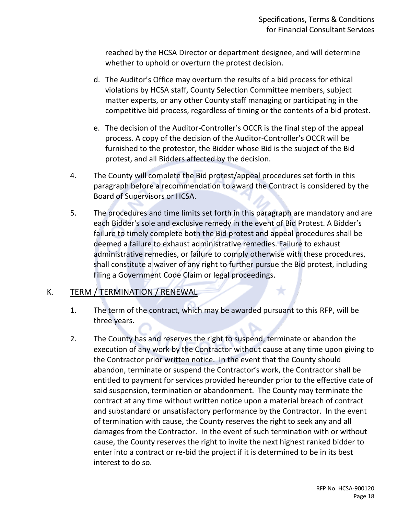reached by the HCSA Director or department designee, and will determine whether to uphold or overturn the protest decision.

- d. The Auditor's Office may overturn the results of a bid process for ethical violations by HCSA staff, County Selection Committee members, subject matter experts, or any other County staff managing or participating in the competitive bid process, regardless of timing or the contents of a bid protest.
- e. The decision of the Auditor-Controller's OCCR is the final step of the appeal process. A copy of the decision of the Auditor-Controller's OCCR will be furnished to the protestor, the Bidder whose Bid is the subject of the Bid protest, and all Bidders affected by the decision.
- 4. The County will complete the Bid protest/appeal procedures set forth in this paragraph before a recommendation to award the Contract is considered by the Board of Supervisors or HCSA.
- 5. The procedures and time limits set forth in this paragraph are mandatory and are each Bidder's sole and exclusive remedy in the event of Bid Protest. A Bidder's failure to timely complete both the Bid protest and appeal procedures shall be deemed a failure to exhaust administrative remedies. Failure to exhaust administrative remedies, or failure to comply otherwise with these procedures, shall constitute a waiver of any right to further pursue the Bid protest, including filing a Government Code Claim or legal proceedings.

#### <span id="page-17-0"></span>K. TERM / TERMINATION / RENEWAL

- 1. The term of the contract, which may be awarded pursuant to this RFP, will be three years.
- 2. The County has and reserves the right to suspend, terminate or abandon the execution of any work by the Contractor without cause at any time upon giving to the Contractor prior written notice. In the event that the County should abandon, terminate or suspend the Contractor's work, the Contractor shall be entitled to payment for services provided hereunder prior to the effective date of said suspension, termination or abandonment. The County may terminate the contract at any time without written notice upon a material breach of contract and substandard or unsatisfactory performance by the Contractor. In the event of termination with cause, the County reserves the right to seek any and all damages from the Contractor. In the event of such termination with or without cause, the County reserves the right to invite the next highest ranked bidder to enter into a contract or re-bid the project if it is determined to be in its best interest to do so.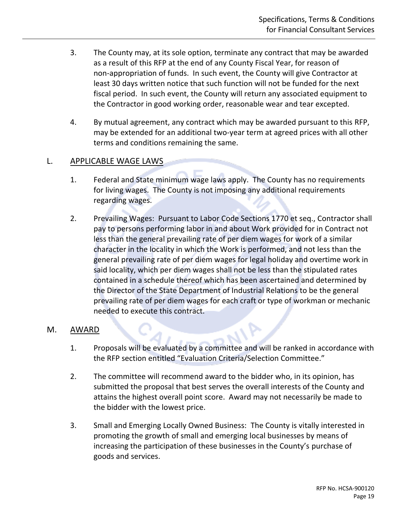- 3. The County may, at its sole option, terminate any contract that may be awarded as a result of this RFP at the end of any County Fiscal Year, for reason of non-appropriation of funds. In such event, the County will give Contractor at least 30 days written notice that such function will not be funded for the next fiscal period. In such event, the County will return any associated equipment to the Contractor in good working order, reasonable wear and tear excepted.
- 4. By mutual agreement, any contract which may be awarded pursuant to this RFP, may be extended for an additional two-year term at agreed prices with all other terms and conditions remaining the same.

#### <span id="page-18-0"></span>L. APPLICABLE WAGE LAWS

- 1. Federal and State minimum wage laws apply. The County has no requirements for living wages. The County is not imposing any additional requirements regarding wages.
- 2. Prevailing Wages: Pursuant to Labor Code Sections 1770 et seq., Contractor shall pay to persons performing labor in and about Work provided for in Contract not less than the general prevailing rate of per diem wages for work of a similar character in the locality in which the Work is performed, and not less than the general prevailing rate of per diem wages for legal holiday and overtime work in said locality, which per diem wages shall not be less than the stipulated rates contained in a schedule thereof which has been ascertained and determined by the Director of the State Department of Industrial Relations to be the general prevailing rate of per diem wages for each craft or type of workman or mechanic needed to execute this contract.

#### <span id="page-18-1"></span>M. AWARD

- 1. Proposals will be evaluated by a committee and will be ranked in accordance with the RFP section entitled "Evaluation Criteria/Selection Committee."
- 2. The committee will recommend award to the bidder who, in its opinion, has submitted the proposal that best serves the overall interests of the County and attains the highest overall point score. Award may not necessarily be made to the bidder with the lowest price.
- 3. Small and Emerging Locally Owned Business: The County is vitally interested in promoting the growth of small and emerging local businesses by means of increasing the participation of these businesses in the County's purchase of goods and services.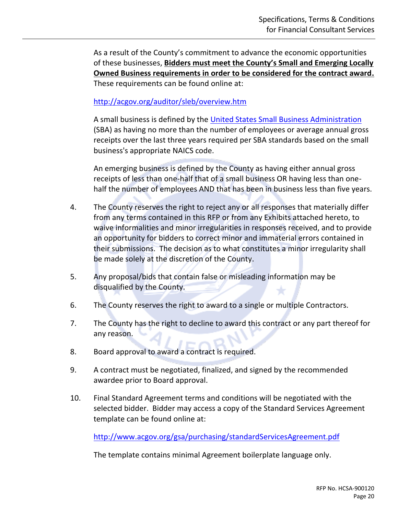As a result of the County's commitment to advance the economic opportunities of these businesses, **Bidders must meet the County's Small and Emerging Locally Owned Business requirements in order to be considered for the contract award.** These requirements can be found online at:

<http://acgov.org/auditor/sleb/overview.htm>

A small business is defined by the [United States Small Business Administration](http://www.sba.gov/) (SBA) as having no more than the number of employees or average annual gross receipts over the last three years required per SBA standards based on the small business's appropriate NAICS code.

An emerging business is defined by the County as having either annual gross receipts of less than one-half that of a small business OR having less than onehalf the number of employees AND that has been in business less than five years.

- 4. The County reserves the right to reject any or all responses that materially differ from any terms contained in this RFP or from any Exhibits attached hereto, to waive informalities and minor irregularities in responses received, and to provide an opportunity for bidders to correct minor and immaterial errors contained in their submissions. The decision as to what constitutes a minor irregularity shall be made solely at the discretion of the County.
- 5. Any proposal/bids that contain false or misleading information may be disqualified by the County.
- 6. The County reserves the right to award to a single or multiple Contractors.
- 7. The County has the right to decline to award this contract or any part thereof for any reason.
- 8. Board approval to award a contract is required.
- 9. A contract must be negotiated, finalized, and signed by the recommended awardee prior to Board approval.
- 10. Final Standard Agreement terms and conditions will be negotiated with the selected bidder. Bidder may access a copy of the Standard Services Agreement template can be found online at:

<http://www.acgov.org/gsa/purchasing/standardServicesAgreement.pdf>

The template contains minimal Agreement boilerplate language only.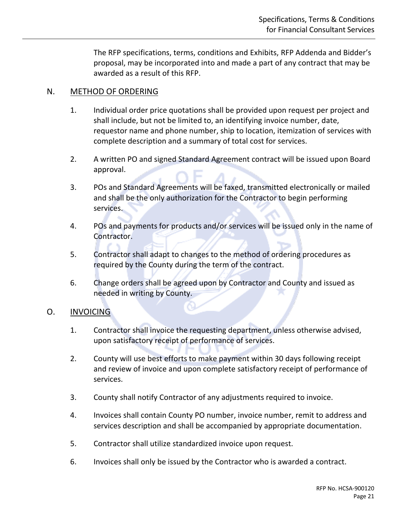The RFP specifications, terms, conditions and Exhibits, RFP Addenda and Bidder's proposal, may be incorporated into and made a part of any contract that may be awarded as a result of this RFP.

#### <span id="page-20-0"></span>N. METHOD OF ORDERING

- 1. Individual order price quotations shall be provided upon request per project and shall include, but not be limited to, an identifying invoice number, date, requestor name and phone number, ship to location, itemization of services with complete description and a summary of total cost for services.
- 2. A written PO and signed Standard Agreement contract will be issued upon Board approval.
- 3. POs and Standard Agreements will be faxed, transmitted electronically or mailed and shall be the only authorization for the Contractor to begin performing services.
- 4. POs and payments for products and/or services will be issued only in the name of Contractor.
- 5. Contractor shall adapt to changes to the method of ordering procedures as required by the County during the term of the contract.
- 6. Change orders shall be agreed upon by Contractor and County and issued as needed in writing by County.

#### <span id="page-20-1"></span>O. INVOICING

- 1. Contractor shall invoice the requesting department, unless otherwise advised, upon satisfactory receipt of performance of services.
- 2. County will use best efforts to make payment within 30 days following receipt and review of invoice and upon complete satisfactory receipt of performance of services.
- 3. County shall notify Contractor of any adjustments required to invoice.
- 4. Invoices shall contain County PO number, invoice number, remit to address and services description and shall be accompanied by appropriate documentation.
- 5. Contractor shall utilize standardized invoice upon request.
- 6. Invoices shall only be issued by the Contractor who is awarded a contract.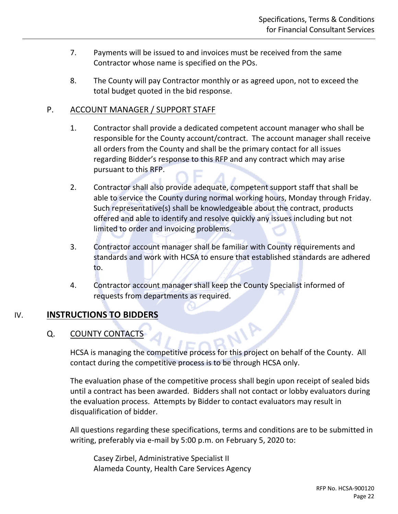- 7. Payments will be issued to and invoices must be received from the same Contractor whose name is specified on the POs.
- 8. The County will pay Contractor monthly or as agreed upon, not to exceed the total budget quoted in the bid response.

#### <span id="page-21-0"></span>P. ACCOUNT MANAGER / SUPPORT STAFF

- 1. Contractor shall provide a dedicated competent account manager who shall be responsible for the County account/contract. The account manager shall receive all orders from the County and shall be the primary contact for all issues regarding Bidder's response to this RFP and any contract which may arise pursuant to this RFP.
- 2. Contractor shall also provide adequate, competent support staff that shall be able to service the County during normal working hours, Monday through Friday. Such representative(s) shall be knowledgeable about the contract, products offered and able to identify and resolve quickly any issues including but not limited to order and invoicing problems.
- 3. Contractor account manager shall be familiar with County requirements and standards and work with HCSA to ensure that established standards are adhered to.
- 4. Contractor account manager shall keep the County Specialist informed of requests from departments as required.

#### <span id="page-21-2"></span><span id="page-21-1"></span>IV. **INSTRUCTIONS TO BIDDERS**

#### Q. COUNTY CONTACTS

HCSA is managing the competitive process for this project on behalf of the County. All contact during the competitive process is to be through HCSA only.

NIP

The evaluation phase of the competitive process shall begin upon receipt of sealed bids until a contract has been awarded. Bidders shall not contact or lobby evaluators during the evaluation process. Attempts by Bidder to contact evaluators may result in disqualification of bidder.

All questions regarding these specifications, terms and conditions are to be submitted in writing, preferably via e-mail by 5:00 p.m. on February 5, 2020 to:

Casey Zirbel, Administrative Specialist II Alameda County, Health Care Services Agency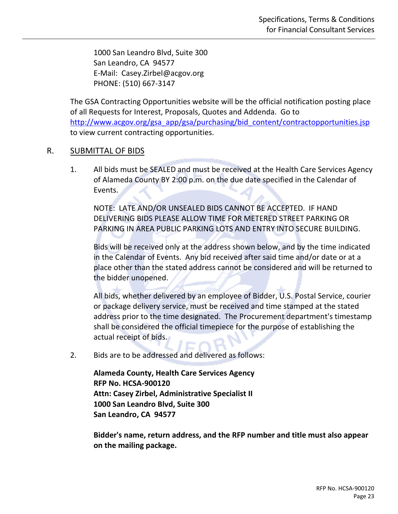1000 San Leandro Blvd, Suite 300 San Leandro, CA 94577 E-Mail: Casey.Zirbel@acgov.org PHONE: (510) 667-3147

The GSA Contracting Opportunities website will be the official notification posting place of all Requests for Interest, Proposals, Quotes and Addenda. Go to [http://www.acgov.org/gsa\\_app/gsa/purchasing/bid\\_content/contractopportunities.jsp](http://www.acgov.org/gsa_app/gsa/purchasing/bid_content/contractopportunities.jsp) to view current contracting opportunities.

#### <span id="page-22-0"></span>R. SUBMITTAL OF BIDS

1. All bids must be SEALED and must be received at the Health Care Services Agency of Alameda County BY 2:00 p.m. on the due date specified in the Calendar of Events.

NOTE: LATE AND/OR UNSEALED BIDS CANNOT BE ACCEPTED. IF HAND DELIVERING BIDS PLEASE ALLOW TIME FOR METERED STREET PARKING OR PARKING IN AREA PUBLIC PARKING LOTS AND ENTRY INTO SECURE BUILDING.

Bids will be received only at the address shown below, and by the time indicated in the Calendar of Events. Any bid received after said time and/or date or at a place other than the stated address cannot be considered and will be returned to the bidder unopened.

All bids, whether delivered by an employee of Bidder, U.S. Postal Service, courier or package delivery service, must be received and time stamped at the stated address prior to the time designated. The Procurement department's timestamp shall be considered the official timepiece for the purpose of establishing the actual receipt of bids.

2. Bids are to be addressed and delivered as follows:

**Alameda County, Health Care Services Agency RFP No. HCSA-900120 Attn: Casey Zirbel, Administrative Specialist II 1000 San Leandro Blvd, Suite 300 San Leandro, CA 94577**

**Bidder's name, return address, and the RFP number and title must also appear on the mailing package.**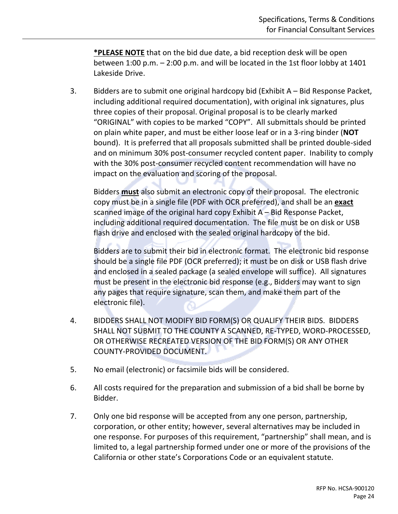**\*PLEASE NOTE** that on the bid due date, a bid reception desk will be open between 1:00 p.m. – 2:00 p.m. and will be located in the 1st floor lobby at 1401 Lakeside Drive.

3. Bidders are to submit one original hardcopy bid (Exhibit A – Bid Response Packet, including additional required documentation), with original ink signatures, plus three copies of their proposal. Original proposal is to be clearly marked "ORIGINAL" with copies to be marked "COPY". All submittals should be printed on plain white paper, and must be either loose leaf or in a 3-ring binder (**NOT** bound). It is preferred that all proposals submitted shall be printed double-sided and on minimum 30% post-consumer recycled content paper. Inability to comply with the 30% post-consumer recycled content recommendation will have no impact on the evaluation and scoring of the proposal.

Bidders **must** also submit an electronic copy of their proposal. The electronic copy must be in a single file (PDF with OCR preferred), and shall be an **exact** scanned image of the original hard copy Exhibit A – Bid Response Packet, including additional required documentation. The file must be on disk or USB flash drive and enclosed with the sealed original hardcopy of the bid.

Bidders are to submit their bid in electronic format. The electronic bid response should be a single file PDF (OCR preferred); it must be on disk or USB flash drive and enclosed in a sealed package (a sealed envelope will suffice). All signatures must be present in the electronic bid response (e.g., Bidders may want to sign any pages that require signature, scan them, and make them part of the electronic file).

- 4. BIDDERS SHALL NOT MODIFY BID FORM(S) OR QUALIFY THEIR BIDS. BIDDERS SHALL NOT SUBMIT TO THE COUNTY A SCANNED, RE-TYPED, WORD-PROCESSED, OR OTHERWISE RECREATED VERSION OF THE BID FORM(S) OR ANY OTHER COUNTY-PROVIDED DOCUMENT.
- 5. No email (electronic) or facsimile bids will be considered.
- 6. All costs required for the preparation and submission of a bid shall be borne by Bidder.
- 7. Only one bid response will be accepted from any one person, partnership, corporation, or other entity; however, several alternatives may be included in one response. For purposes of this requirement, "partnership" shall mean, and is limited to, a legal partnership formed under one or more of the provisions of the California or other state's Corporations Code or an equivalent statute.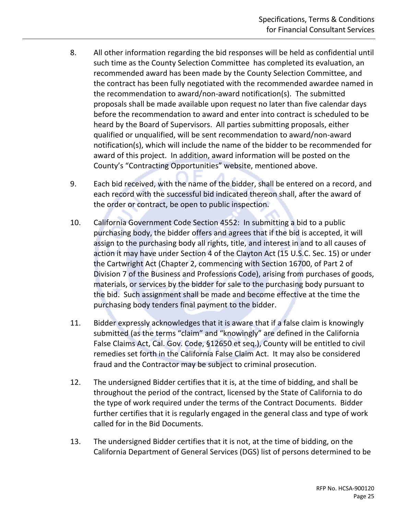- 8. All other information regarding the bid responses will be held as confidential until such time as the County Selection Committee has completed its evaluation, an recommended award has been made by the County Selection Committee, and the contract has been fully negotiated with the recommended awardee named in the recommendation to award/non-award notification(s). The submitted proposals shall be made available upon request no later than five calendar days before the recommendation to award and enter into contract is scheduled to be heard by the Board of Supervisors. All parties submitting proposals, either qualified or unqualified, will be sent recommendation to award/non-award notification(s), which will include the name of the bidder to be recommended for award of this project. In addition, award information will be posted on the County's "Contracting Opportunities" website, mentioned above.
- 9. Each bid received, with the name of the bidder, shall be entered on a record, and each record with the successful bid indicated thereon shall, after the award of the order or contract, be open to public inspection.
- 10. California Government Code Section 4552: In submitting a bid to a public purchasing body, the bidder offers and agrees that if the bid is accepted, it will assign to the purchasing body all rights, title, and interest in and to all causes of action it may have under Section 4 of the Clayton Act (15 U.S.C. Sec. 15) or under the Cartwright Act (Chapter 2, commencing with Section 16700, of Part 2 of Division 7 of the Business and Professions Code), arising from purchases of goods, materials, or services by the bidder for sale to the purchasing body pursuant to the bid. Such assignment shall be made and become effective at the time the purchasing body tenders final payment to the bidder.
- 11. Bidder expressly acknowledges that it is aware that if a false claim is knowingly submitted (as the terms "claim" and "knowingly" are defined in the California False Claims Act, Cal. Gov. Code, §12650 et seq.), County will be entitled to civil remedies set forth in the California False Claim Act. It may also be considered fraud and the Contractor may be subject to criminal prosecution.
- 12. The undersigned Bidder certifies that it is, at the time of bidding, and shall be throughout the period of the contract, licensed by the State of California to do the type of work required under the terms of the Contract Documents. Bidder further certifies that it is regularly engaged in the general class and type of work called for in the Bid Documents.
- 13. The undersigned Bidder certifies that it is not, at the time of bidding, on the California Department of General Services (DGS) list of persons determined to be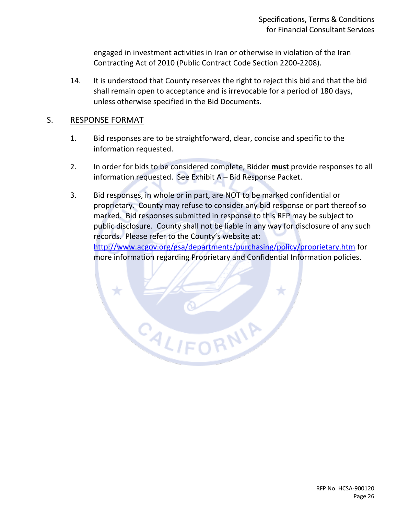engaged in investment activities in Iran or otherwise in violation of the Iran Contracting Act of 2010 (Public Contract Code Section 2200-2208).

14. It is understood that County reserves the right to reject this bid and that the bid shall remain open to acceptance and is irrevocable for a period of 180 days, unless otherwise specified in the Bid Documents.

#### <span id="page-25-0"></span>S. RESPONSE FORMAT

- 1. Bid responses are to be straightforward, clear, concise and specific to the information requested.
- 2. In order for bids to be considered complete, Bidder **must** provide responses to all information requested. See Exhibit A – Bid Response Packet.
- 3. Bid responses, in whole or in part, are NOT to be marked confidential or proprietary. County may refuse to consider any bid response or part thereof so marked. Bid responses submitted in response to this RFP may be subject to public disclosure. County shall not be liable in any way for disclosure of any such records. Please refer to the County's website at: <http://www.acgov.org/gsa/departments/purchasing/policy/proprietary.htm> for more information regarding Proprietary and Confidential Information policies.

RNIA

CALIFO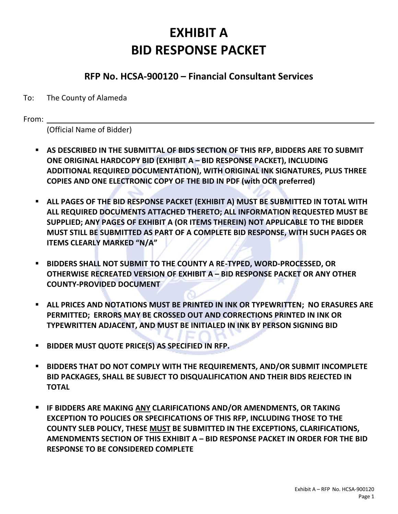## **EXHIBIT A BID RESPONSE PACKET**

#### **RFP No. HCSA-900120 – Financial Consultant Services**

#### <span id="page-26-1"></span><span id="page-26-0"></span>To: The County of Alameda

From:

(Official Name of Bidder)

- **AS DESCRIBED IN THE SUBMITTAL OF BIDS SECTION OF THIS RFP, BIDDERS ARE TO SUBMIT ONE ORIGINAL HARDCOPY BID (EXHIBIT A – BID RESPONSE PACKET), INCLUDING ADDITIONAL REQUIRED DOCUMENTATION), WITH ORIGINAL INK SIGNATURES, PLUS THREE COPIES AND ONE ELECTRONIC COPY OF THE BID IN PDF (with OCR preferred)**
- **E** ALL PAGES OF THE BID RESPONSE PACKET (EXHIBIT A) MUST BE SUBMITTED IN TOTAL WITH **ALL REQUIRED DOCUMENTS ATTACHED THERETO; ALL INFORMATION REQUESTED MUST BE SUPPLIED; ANY PAGES OF EXHIBIT A (OR ITEMS THEREIN) NOT APPLICABLE TO THE BIDDER MUST STILL BE SUBMITTED AS PART OF A COMPLETE BID RESPONSE, WITH SUCH PAGES OR ITEMS CLEARLY MARKED "N/A"**
- **BIDDERS SHALL NOT SUBMIT TO THE COUNTY A RE-TYPED, WORD-PROCESSED, OR OTHERWISE RECREATED VERSION OF EXHIBIT A – BID RESPONSE PACKET OR ANY OTHER COUNTY-PROVIDED DOCUMENT**
- **E** ALL PRICES AND NOTATIONS MUST BE PRINTED IN INK OR TYPEWRITTEN; NO ERASURES ARE **PERMITTED; ERRORS MAY BE CROSSED OUT AND CORRECTIONS PRINTED IN INK OR TYPEWRITTEN ADJACENT, AND MUST BE INITIALED IN INK BY PERSON SIGNING BID**
- **BIDDER MUST QUOTE PRICE(S) AS SPECIFIED IN RFP.**
- **BIDDERS THAT DO NOT COMPLY WITH THE REQUIREMENTS, AND/OR SUBMIT INCOMPLETE BID PACKAGES, SHALL BE SUBJECT TO DISQUALIFICATION AND THEIR BIDS REJECTED IN TOTAL**
- **IF BIDDERS ARE MAKING ANY CLARIFICATIONS AND/OR AMENDMENTS, OR TAKING EXCEPTION TO POLICIES OR SPECIFICATIONS OF THIS RFP, INCLUDING THOSE TO THE COUNTY SLEB POLICY, THESE MUST BE SUBMITTED IN THE EXCEPTIONS, CLARIFICATIONS, AMENDMENTS SECTION OF THIS EXHIBIT A – BID RESPONSE PACKET IN ORDER FOR THE BID RESPONSE TO BE CONSIDERED COMPLETE**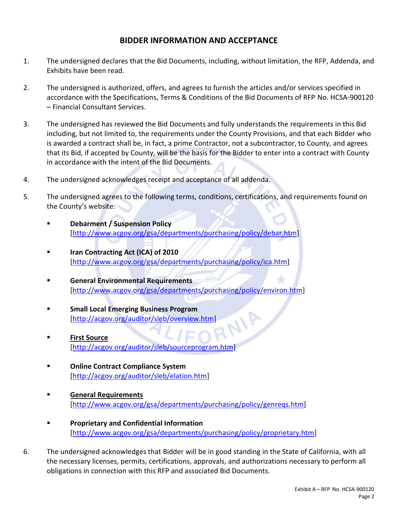#### **BIDDER INFORMATION AND ACCEPTANCE**

- 1. The undersigned declares that the Bid Documents, including, without limitation, the RFP, Addenda, and Exhibits have been read.
- 2. The undersigned is authorized, offers, and agrees to furnish the articles and/or services specified in accordance with the Specifications, Terms & Conditions of the Bid Documents of RFP No. HCSA-900120 – Financial Consultant Services.
- 3. The undersigned has reviewed the Bid Documents and fully understands the requirements in this Bid including, but not limited to, the requirements under the County Provisions, and that each Bidder who is awarded a contract shall be, in fact, a prime Contractor, not a subcontractor, to County, and agrees that its Bid, if accepted by County, will be the basis for the Bidder to enter into a contract with County in accordance with the intent of the Bid Documents.
- 4. The undersigned acknowledges receipt and acceptance of all addenda.
- 5. The undersigned agrees to the following terms, conditions, certifications, and requirements found on the County's website:
	- **[Debarment / Suspension Policy](http://www.acgov.org/gsa/departments/purchasing/policy/debar.htm)** [\[http://www.acgov.org/gsa/departments/purchasing/policy/debar.htm\]](http://www.acgov.org/gsa/departments/purchasing/policy/debar.htm)
	- **[Iran Contracting Act \(ICA\) of 2010](http://www.acgov.org/gsa/departments/purchasing/policy/ica.htm)** [\[http://www.acgov.org/gsa/departments/purchasing/policy/ica.htm\]](http://www.acgov.org/gsa/departments/purchasing/policy/ica.htm)
	- **[General Environmental Requirements](http://www.acgov.org/gsa/departments/purchasing/policy/environ.htm)** [\[http://www.acgov.org/gsa/departments/purchasing/policy/environ.htm\]](http://www.acgov.org/gsa/departments/purchasing/policy/environ.htm)
	- **Small Local Emerging Business Program** Eirst Source<br>Eirst Source<br>Eirst Source
	- **[First Source](http://www.acgov.org/gsa/departments/purchasing/policy/first.htm)** [\[http://acgov.org/auditor/sleb/sourceprogram.htm\]](http://acgov.org/auditor/sleb/sourceprogram.htm)
	- **[Online Contract Compliance System](http://www.acgov.org/gsa/departments/purchasing/policy/compliance.htm)** [\[http://acgov.org/auditor/sleb/elation.htm\]](http://acgov.org/auditor/sleb/elation.htm)
	- **[General Requirements](http://www.acgov.org/gsa/departments/purchasing/policy/genreqs.htm)** [\[http://www.acgov.org/gsa/departments/purchasing/policy/genreqs.htm\]](http://www.acgov.org/gsa/departments/purchasing/policy/genreqs.htm)
	- **[Proprietary and Confidential Information](http://www.acgov.org/gsa/departments/purchasing/policy/proprietary.htm)** [\[http://www.acgov.org/gsa/departments/purchasing/policy/proprietary.htm\]](http://www.acgov.org/gsa/departments/purchasing/policy/proprietary.htm)
- 6. The undersigned acknowledges that Bidder will be in good standing in the State of California, with all the necessary licenses, permits, certifications, approvals, and authorizations necessary to perform all obligations in connection with this RFP and associated Bid Documents.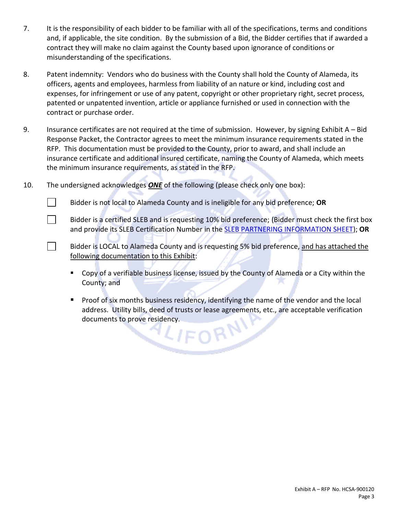- 7. It is the responsibility of each bidder to be familiar with all of the specifications, terms and conditions and, if applicable, the site condition. By the submission of a Bid, the Bidder certifies that if awarded a contract they will make no claim against the County based upon ignorance of conditions or misunderstanding of the specifications.
- 8. Patent indemnity: Vendors who do business with the County shall hold the County of Alameda, its officers, agents and employees, harmless from liability of an nature or kind, including cost and expenses, for infringement or use of any patent, copyright or other proprietary right, secret process, patented or unpatented invention, article or appliance furnished or used in connection with the contract or purchase order.
- 9. Insurance certificates are not required at the time of submission. However, by signing Exhibit A Bid Response Packet, the Contractor agrees to meet the minimum insurance requirements stated in the RFP. This documentation must be provided to the County, prior to award, and shall include an insurance certificate and additional insured certificate, naming the County of Alameda, which meets the minimum insurance requirements, as stated in the RFP.
- 10. The undersigned acknowledges *ONE* of the following (please check only one box):

 $\Box$ 

- $\mathbb{R}^n$ Bidder is not local to Alameda County and is ineligible for any bid preference; **OR**
	- Bidder is a certified SLEB and is requesting 10% bid preference; (Bidder must check the first box and provide its SLEB Certification Number in the [SLEB PARTNERING INFORMATION SHEET\)](#page-35-2); **OR**
- $\Box$ Bidder is LOCAL to Alameda County and is requesting 5% bid preference, and has attached the following documentation to this Exhibit:
	- Copy of a verifiable business license, issued by the County of Alameda or a City within the County; and
	- Proof of six months business residency, identifying the name of the vendor and the local address. Utility bills, deed of trusts or lease agreements, etc., are acceptable verification documents to prove residency.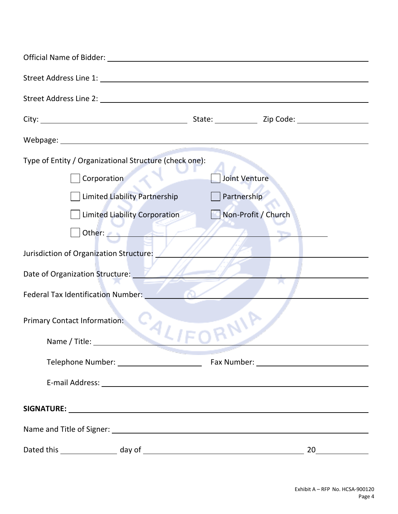<span id="page-29-0"></span>

| Official Name of Bidder: University of American Services and Services and Services and Services and Services and Services and Services and Services and Services and Services and Services and Services and Services and Servi |  |                                    |  |  |  |
|--------------------------------------------------------------------------------------------------------------------------------------------------------------------------------------------------------------------------------|--|------------------------------------|--|--|--|
|                                                                                                                                                                                                                                |  |                                    |  |  |  |
|                                                                                                                                                                                                                                |  |                                    |  |  |  |
|                                                                                                                                                                                                                                |  | State: <u>Zip Code:</u> Zip Code:  |  |  |  |
|                                                                                                                                                                                                                                |  |                                    |  |  |  |
| Type of Entity / Organizational Structure (check one):<br>Corporation                                                                                                                                                          |  | Joint Venture                      |  |  |  |
| <b>Limited Liability Partnership</b><br>Limited Liability Corporation                                                                                                                                                          |  | Partnership<br>Non-Profit / Church |  |  |  |
| Other:<br>Jurisdiction of Organization Structure:                                                                                                                                                                              |  |                                    |  |  |  |
| Date of Organization Structure:                                                                                                                                                                                                |  |                                    |  |  |  |
| <b>Federal Tax Identification Number:</b>                                                                                                                                                                                      |  |                                    |  |  |  |
| <b>Primary Contact Information:</b><br>Name / Title:                                                                                                                                                                           |  | <b>NIP</b>                         |  |  |  |
|                                                                                                                                                                                                                                |  |                                    |  |  |  |
|                                                                                                                                                                                                                                |  |                                    |  |  |  |
|                                                                                                                                                                                                                                |  |                                    |  |  |  |
|                                                                                                                                                                                                                                |  |                                    |  |  |  |
|                                                                                                                                                                                                                                |  |                                    |  |  |  |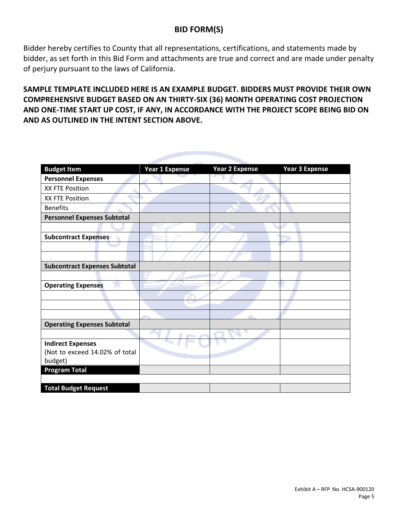#### **BID FORM(S)**

Bidder hereby certifies to County that all representations, certifications, and statements made by bidder, as set forth in this Bid Form and attachments are true and correct and are made under penalty of perjury pursuant to the laws of California.

**SAMPLE TEMPLATE INCLUDED HERE IS AN EXAMPLE BUDGET. BIDDERS MUST PROVIDE THEIR OWN COMPREHENSIVE BUDGET BASED ON AN THIRTY-SIX (36) MONTH OPERATING COST PROJECTION AND ONE-TIME START UP COST, IF ANY, IN ACCORDANCE WITH THE PROJECT SCOPE BEING BID ON AND AS OUTLINED IN THE INTENT SECTION ABOVE.**

| <b>Budget Item</b>                   | <b>Year 1 Expense</b> | <b>Year 2 Expense</b> | <b>Year 3 Expense</b> |
|--------------------------------------|-----------------------|-----------------------|-----------------------|
| <b>Personnel Expenses</b>            |                       |                       |                       |
| XX FTE Position                      |                       |                       |                       |
| XX FTE Position                      |                       |                       |                       |
| <b>Benefits</b>                      |                       |                       |                       |
| <b>Personnel Expenses Subtotal</b>   |                       |                       |                       |
|                                      |                       |                       |                       |
| <b>Subcontract Expenses</b>          |                       |                       |                       |
|                                      |                       |                       |                       |
|                                      |                       |                       |                       |
| <b>Subcontract Expenses Subtotal</b> |                       |                       |                       |
|                                      |                       |                       |                       |
| <b>Operating Expenses</b>            |                       |                       |                       |
|                                      |                       |                       |                       |
|                                      |                       |                       |                       |
|                                      |                       |                       |                       |
| <b>Operating Expenses Subtotal</b>   |                       |                       |                       |
|                                      |                       |                       |                       |
| <b>Indirect Expenses</b>             |                       |                       |                       |
| (Not to exceed 14.02% of total       |                       |                       |                       |
| budget)                              |                       |                       |                       |
| <b>Program Total</b>                 |                       |                       |                       |
|                                      |                       |                       |                       |
| <b>Total Budget Request</b>          |                       |                       |                       |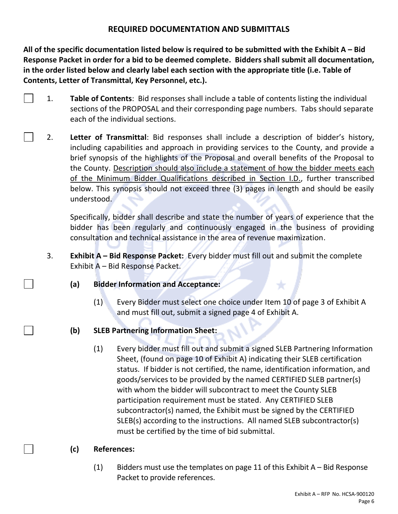#### **REQUIRED DOCUMENTATION AND SUBMITTALS**

**All of the specific documentation listed below is required to be submitted with the Exhibit A – Bid Response Packet in order for a bid to be deemed complete. Bidders shall submit all documentation, in the order listed below and clearly label each section with the appropriate title (i.e. Table of Contents, Letter of Transmittal, Key Personnel, etc.).**

- 1. **Table of Contents**: Bid responses shall include a table of contents listing the individual sections of the PROPOSAL and their corresponding page numbers. Tabs should separate each of the individual sections.
- 2. **Letter of Transmittal**: Bid responses shall include a description of bidder's history, including capabilities and approach in providing services to the County, and provide a brief synopsis of the highlights of the Proposal and overall benefits of the Proposal to the County. Description should also include a statement of how the bidder meets each of the Minimum Bidder Qualifications described in Section I.D., further transcribed below. This synopsis should not exceed three (3) pages in length and should be easily understood.

Specifically, bidder shall describe and state the number of years of experience that the bidder has been regularly and continuously engaged in the business of providing consultation and technical assistance in the area of revenue maximization.

- 3. **Exhibit A – Bid Response Packet:** Every bidder must fill out and submit the complete Exhibit A – Bid Response Packet.
	- **(a) Bidder Information and Acceptance:**
		- (1) Every Bidder must select one choice under Item 10 of page 3 of Exhibit A and must fill out, submit a signed page 4 of Exhibit A.
	- **(b) SLEB Partnering Information Sheet:**
		- (1) Every bidder must fill out and submit a signed SLEB Partnering Information Sheet, (found on page 10 of Exhibit A) indicating their SLEB certification status. If bidder is not certified, the name, identification information, and goods/services to be provided by the named CERTIFIED SLEB partner(s) with whom the bidder will subcontract to meet the County SLEB participation requirement must be stated. Any CERTIFIED SLEB subcontractor(s) named, the Exhibit must be signed by the CERTIFIED SLEB(s) according to the instructions. All named SLEB subcontractor(s) must be certified by the time of bid submittal.
	- **(c) References:**
		- (1) Bidders must use the templates on page 11 of this Exhibit  $A Bid$  Response Packet to provide references.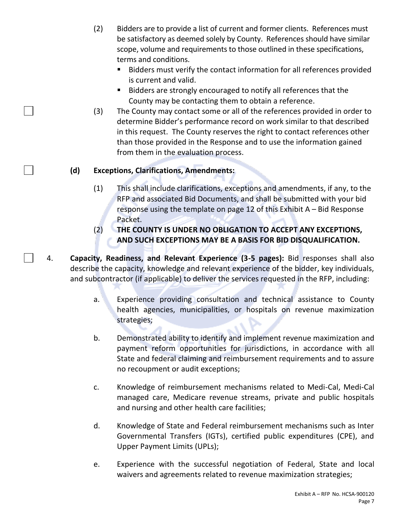- (2) Bidders are to provide a list of current and former clients. References must be satisfactory as deemed solely by County. References should have similar scope, volume and requirements to those outlined in these specifications, terms and conditions.
	- Bidders must verify the contact information for all references provided is current and valid.
	- Bidders are strongly encouraged to notify all references that the County may be contacting them to obtain a reference.
- (3) The County may contact some or all of the references provided in order to determine Bidder's performance record on work similar to that described in this request. The County reserves the right to contact references other than those provided in the Response and to use the information gained from them in the evaluation process.

#### **(d) Exceptions, Clarifications, Amendments:**

- (1) This shall include clarifications, exceptions and amendments, if any, to the RFP and associated Bid Documents, and shall be submitted with your bid response using the template on page 12 of this Exhibit A – Bid Response Packet.
- (2) **THE COUNTY IS UNDER NO OBLIGATION TO ACCEPT ANY EXCEPTIONS, AND SUCH EXCEPTIONS MAY BE A BASIS FOR BID DISQUALIFICATION.**
- 4. **Capacity, Readiness, and Relevant Experience (3-5 pages):** Bid responses shall also describe the capacity, knowledge and relevant experience of the bidder, key individuals, and subcontractor (if applicable) to deliver the services requested in the RFP, including:
	- a. Experience providing consultation and technical assistance to County health agencies, municipalities, or hospitals on revenue maximization strategies;
	- b. Demonstrated ability to identify and implement revenue maximization and payment reform opportunities for jurisdictions, in accordance with all State and federal claiming and reimbursement requirements and to assure no recoupment or audit exceptions;
	- c. Knowledge of reimbursement mechanisms related to Medi-Cal, Medi-Cal managed care, Medicare revenue streams, private and public hospitals and nursing and other health care facilities;
	- d. Knowledge of State and Federal reimbursement mechanisms such as Inter Governmental Transfers (IGTs), certified public expenditures (CPE), and Upper Payment Limits (UPLs);
	- e. Experience with the successful negotiation of Federal, State and local waivers and agreements related to revenue maximization strategies;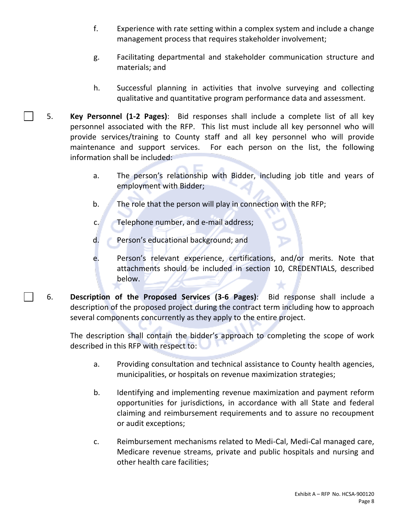- f. Experience with rate setting within a complex system and include a change management process that requires stakeholder involvement;
- g. Facilitating departmental and stakeholder communication structure and materials; and
- h. Successful planning in activities that involve surveying and collecting qualitative and quantitative program performance data and assessment.
- 5. **Key Personnel (1-2 Pages)**: Bid responses shall include a complete list of all key personnel associated with the RFP. This list must include all key personnel who will provide services/training to County staff and all key personnel who will provide maintenance and support services. For each person on the list, the following information shall be included:
	- a. The person's relationship with Bidder, including job title and years of employment with Bidder;
	- b. The role that the person will play in connection with the RFP;
	- c. Telephone number, and e-mail address;
	- d. Person's educational background; and
	- e. Person's relevant experience, certifications, and/or merits. Note that attachments should be included in section 10, CREDENTIALS, described below.
- 6. **Description of the Proposed Services (3-6 Pages)**: Bid response shall include a description of the proposed project during the contract term including how to approach several components concurrently as they apply to the entire project.

The description shall contain the bidder's approach to completing the scope of work described in this RFP with respect to:

- a. Providing consultation and technical assistance to County health agencies, municipalities, or hospitals on revenue maximization strategies;
- b. Identifying and implementing revenue maximization and payment reform opportunities for jurisdictions, in accordance with all State and federal claiming and reimbursement requirements and to assure no recoupment or audit exceptions;
- c. Reimbursement mechanisms related to Medi-Cal, Medi-Cal managed care, Medicare revenue streams, private and public hospitals and nursing and other health care facilities;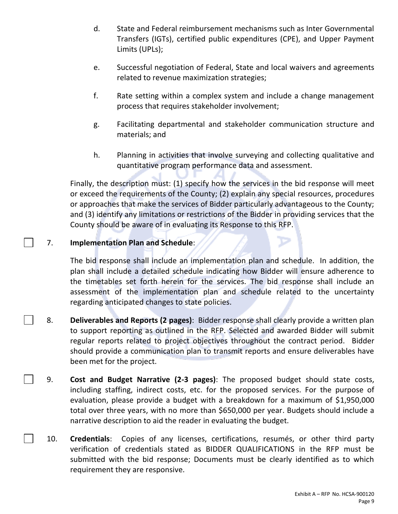- d. State and Federal reimbursement mechanisms such as Inter Governmental Transfers (IGTs), certified public expenditures (CPE), and Upper Payment Limits (UPLs);
- e. Successful negotiation of Federal, State and local waivers and agreements related to revenue maximization strategies;
- f. Rate setting within a complex system and include a change management process that requires stakeholder involvement;
- g. Facilitating departmental and stakeholder communication structure and materials; and
- h. Planning in activities that involve surveying and collecting qualitative and quantitative program performance data and assessment.

 Finally, the description must: (1) specify how the services in the bid response will meet or exceed the requirements of the County; (2) explain any special resources, procedures or approaches that make the services of Bidder particularly advantageous to the County; and (3) identify any limitations or restrictions of the Bidder in providing services that the County should be aware of in evaluating its Response to this RFP.

#### 7. **Implementation Plan and Schedule**:

The bid **r**esponse shall include an implementation plan and schedule. In addition, the plan shall include a detailed schedule indicating how Bidder will ensure adherence to the timetables set forth herein for the services. The bid response shall include an assessment of the implementation plan and schedule related to the uncertainty regarding anticipated changes to state policies.

- 8. **Deliverables and Reports (2 pages)**: Bidder response shall clearly provide a written plan to support reporting as outlined in the RFP. Selected and awarded Bidder will submit regular reports related to project objectives throughout the contract period. Bidder should provide a communication plan to transmit reports and ensure deliverables have been met for the project.
- 9. **Cost and Budget Narrative (2-3 pages)**: The proposed budget should state costs, including staffing, indirect costs, etc. for the proposed services. For the purpose of evaluation, please provide a budget with a breakdown for a maximum of \$1,950,000 total over three years, with no more than \$650,000 per year. Budgets should include a narrative description to aid the reader in evaluating the budget.
- 10. **Credentials**: Copies of any licenses, certifications, resumés, or other third party verification of credentials stated as BIDDER QUALIFICATIONS in the RFP must be submitted with the bid response; Documents must be clearly identified as to which requirement they are responsive.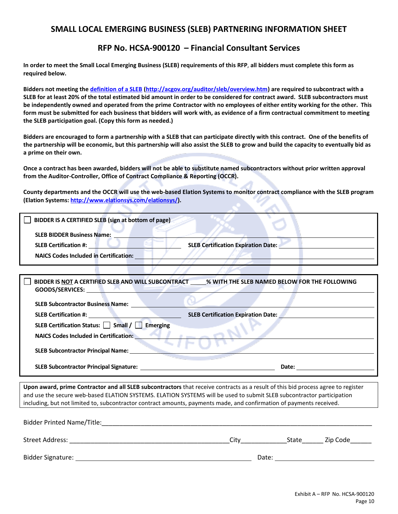#### **SMALL LOCAL EMERGING BUSINESS (SLEB) PARTNERING INFORMATION SHEET**

#### **RFP No. HCSA-900120 – Financial Consultant Services**

**In order to meet the Small Local Emerging Business (SLEB) requirements of this RFP**, **all bidders must complete this form as required below.**

**Bidders not meeting th[e definition of a SLEB](http://acgov.org/auditor/sleb/overview.htm) [\(http://acgov.org/auditor/sleb/overview.htm\)](http://acgov.org/auditor/sleb/overview.htm) are required to subcontract with a SLEB for at least 20% of the total estimated bid amount in order to be considered for contract award. SLEB subcontractors must be independently owned and operated from the prime Contractor with no employees of either entity working for the other. This form must be submitted for each business that bidders will work with, as evidence of a firm contractual commitment to meeting the SLEB participation goal. (Copy this form as needed.)**

**Bidders are encouraged to form a partnership with a SLEB that can participate directly with this contract. One of the benefits of the partnership will be economic, but this partnership will also assist the SLEB to grow and build the capacity to eventually bid as a prime on their own.** 

**Once a contract has been awarded, bidders will not be able to substitute named subcontractors without prior written approval from the Auditor-Controller, Office of Contract Compliance & Reporting (OCCR).**

<span id="page-35-2"></span>**County departments and the OCCR will use the web-based Elation Systems to monitor contract compliance with the SLEB program (Elation Systems[: http://www.elationsys.com/elationsys/\)](http://www.elationsys.com/elationsys/).** 

| BIDDER IS A CERTIFIED SLEB (sign at bottom of page) |                                            |
|-----------------------------------------------------|--------------------------------------------|
| <b>SLEB BIDDER Business Name:</b>                   |                                            |
| <b>SLEB Certification #:</b>                        | <b>SLEB Certification Expiration Date:</b> |
| <b>NAICS Codes Included in Certification:</b>       |                                            |

| BIDDER IS NOT A CERTIFIED SLEB AND WILL SUBCONTRACT<br><b>GOODS/SERVICES:</b>                                                                                                                                                      | % WITH THE SLEB NAMED BELOW FOR THE FOLLOWING |
|------------------------------------------------------------------------------------------------------------------------------------------------------------------------------------------------------------------------------------|-----------------------------------------------|
| <b>SLEB Subcontractor Business Name:</b>                                                                                                                                                                                           |                                               |
| <b>SLEB Certification #: All and All and All and All and All and All and All and All and All and All and All and All and All and All and All and All and All and All and All and All and All and All and All and All and All a</b> | <b>SLEB Certification Expiration Date:</b>    |
| SLEB Certification Status: Small / Emerging                                                                                                                                                                                        |                                               |
| <b>NAICS Codes Included in Certification:</b>                                                                                                                                                                                      |                                               |
| <b>SLEB Subcontractor Principal Name:</b>                                                                                                                                                                                          |                                               |
|                                                                                                                                                                                                                                    | Date:                                         |

<span id="page-35-1"></span>**Upon award, prime Contractor and all SLEB subcontractors** that receive contracts as a result of this bid process agree to register and use the secure web-based ELATION SYSTEMS. ELATION SYSTEMS will be used to submit SLEB subcontractor participation including, but not limited to, subcontractor contract amounts, payments made, and confirmation of payments received.

<span id="page-35-0"></span>

| <b>Bidder Printed Name/Title:</b> |       |       |          |
|-----------------------------------|-------|-------|----------|
| Street Address:                   | City  | State | Zip Code |
| Bidder Signature:                 | Date: |       |          |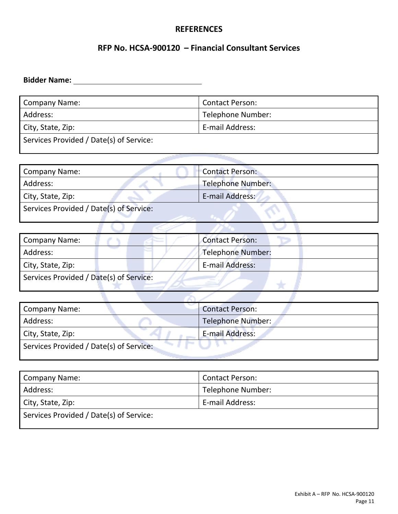#### **REFERENCES**

#### **RFP No. HCSA-900120 – Financial Consultant Services**

## **Bidder Name:**

| <b>Company Name:</b>                    | <b>Contact Person:</b> |  |
|-----------------------------------------|------------------------|--|
| Address:                                | Telephone Number:      |  |
| City, State, Zip:                       | E-mail Address:        |  |
| Services Provided / Date(s) of Service: |                        |  |

| <b>Company Name:</b>                    | <b>Contact Person:</b>   |  |
|-----------------------------------------|--------------------------|--|
| Address:                                | <b>Telephone Number:</b> |  |
| City, State, Zip:                       | E-mail Address:          |  |
| Services Provided / Date(s) of Service: |                          |  |

| <b>Company Name:</b>                    | <b>Programmer</b> | <b>Contact Person:</b>   |
|-----------------------------------------|-------------------|--------------------------|
| Address:                                |                   | <b>Telephone Number:</b> |
| City, State, Zip:                       |                   | E-mail Address:          |
| Services Provided / Date(s) of Service: |                   |                          |

 $\cup$ 

W

**CP** 

J.

| <b>Company Name:</b>                    | <b>Contact Person:</b> |  |
|-----------------------------------------|------------------------|--|
| Address:                                | Telephone Number:      |  |
| City, State, Zip:                       | E-mail Address:        |  |
| Services Provided / Date(s) of Service: |                        |  |

| <b>Company Name:</b>                    | <b>Contact Person:</b> |  |
|-----------------------------------------|------------------------|--|
| Address:                                | Telephone Number:      |  |
| City, State, Zip:                       | E-mail Address:        |  |
| Services Provided / Date(s) of Service: |                        |  |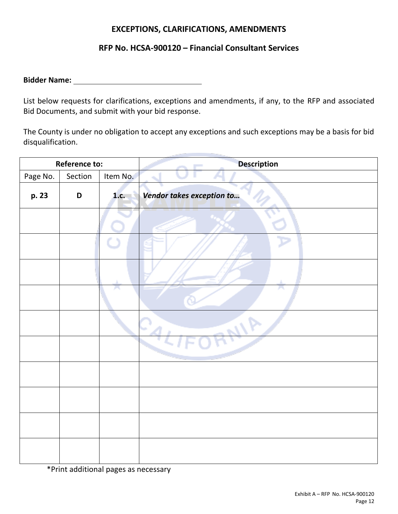#### **EXCEPTIONS, CLARIFICATIONS, AMENDMENTS**

#### **RFP No. HCSA-900120 – Financial Consultant Services**

**Bidder Name:** 

List below requests for clarifications, exceptions and amendments, if any, to the RFP and associated Bid Documents, and submit with your bid response.

The County is under no obligation to accept any exceptions and such exceptions may be a basis for bid disqualification.

| <b>Reference to:</b> |             |          | <b>Description</b>        |  |
|----------------------|-------------|----------|---------------------------|--|
| Page No.             | Section     | Item No. | ÷.                        |  |
| p. 23                | $\mathsf D$ | 1.c.     | Vendor takes exception to |  |
|                      |             |          |                           |  |
|                      |             |          |                           |  |
|                      |             |          |                           |  |
|                      |             |          |                           |  |
|                      |             |          | $\mathcal{L}_{\Delta}$    |  |
|                      |             |          |                           |  |
|                      |             |          |                           |  |
|                      |             |          |                           |  |
|                      |             |          |                           |  |
|                      |             |          |                           |  |

\*Print additional pages as necessary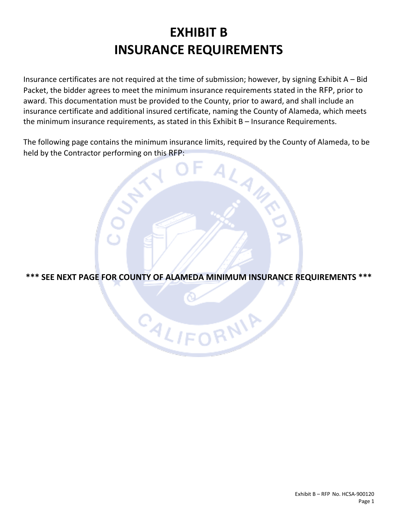## **EXHIBIT B INSURANCE REQUIREMENTS**

<span id="page-38-1"></span><span id="page-38-0"></span>Insurance certificates are not required at the time of submission; however, by signing Exhibit A – Bid Packet, the bidder agrees to meet the minimum insurance requirements stated in the RFP, prior to award. This documentation must be provided to the County, prior to award, and shall include an insurance certificate and additional insured certificate, naming the County of Alameda, which meets the minimum insurance requirements, as stated in this Exhibit B – Insurance Requirements.

The following page contains the minimum insurance limits, required by the County of Alameda, to be held by the Contractor performing on this RFP:

LAWR

**\*\*\* SEE NEXT PAGE FOR COUNTY OF ALAMEDA MINIMUM INSURANCE REQUIREMENTS \*\*\***

CALIFORNIA